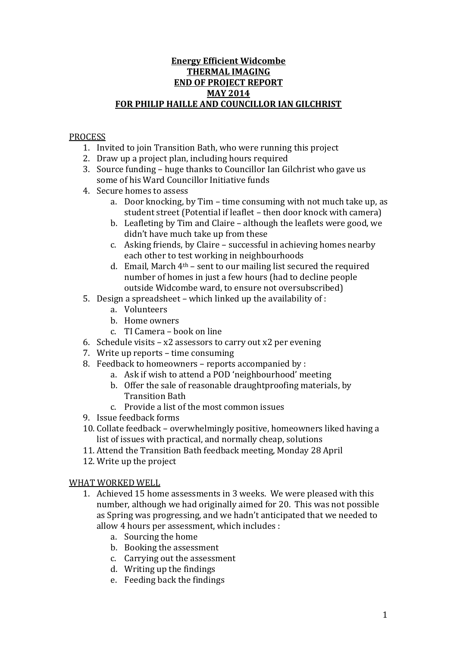## **Energy Efficient Widcombe THERMAL IMAGING END OF PROJECT REPORT MAY 2014 FOR PHILIP HAILLE AND COUNCILLOR IAN GILCHRIST**

# PROCESS

- 1. Invited to join Transition Bath, who were running this project
- 2. Draw up a project plan, including hours required
- 3. Source funding huge thanks to Councillor Ian Gilchrist who gave us some of his Ward Councillor Initiative funds
- 4. Secure homes to assess
	- a. Door knocking, by Tim time consuming with not much take up, as student street (Potential if leaflet – then door knock with camera)
	- b. Leafleting by Tim and Claire although the leaflets were good, we didn't have much take up from these
	- c. Asking friends, by Claire successful in achieving homes nearby each other to test working in neighbourhoods
	- d. Email, March  $4<sup>th</sup>$  sent to our mailing list secured the required number of homes in just a few hours (had to decline people outside Widcombe ward, to ensure not oversubscribed)
- 5. Design a spreadsheet which linked up the availability of :
	- a. Volunteers
	- b. Home owners
	- c. TI Camera book on line
- 6. Schedule visits  $x2$  assessors to carry out  $x2$  per evening
- 7. Write up reports time consuming
- 8. Feedback to homeowners reports accompanied by :
	- a. Ask if wish to attend a POD 'neighbourhood' meeting
		- b. Offer the sale of reasonable draughtproofing materials, by Transition Bath
		- c. Provide a list of the most common issues
- 9. Issue feedback forms
- 10. Collate feedback overwhelmingly positive, homeowners liked having a list of issues with practical, and normally cheap, solutions
- 11. Attend the Transition Bath feedback meeting, Monday 28 April
- 12. Write up the project

## WHAT WORKED WELL

- 1. Achieved 15 home assessments in 3 weeks. We were pleased with this number, although we had originally aimed for 20. This was not possible as Spring was progressing, and we hadn't anticipated that we needed to allow 4 hours per assessment, which includes :
	- a. Sourcing the home
	- b. Booking the assessment
	- c. Carrying out the assessment
	- d. Writing up the findings
	- e. Feeding back the findings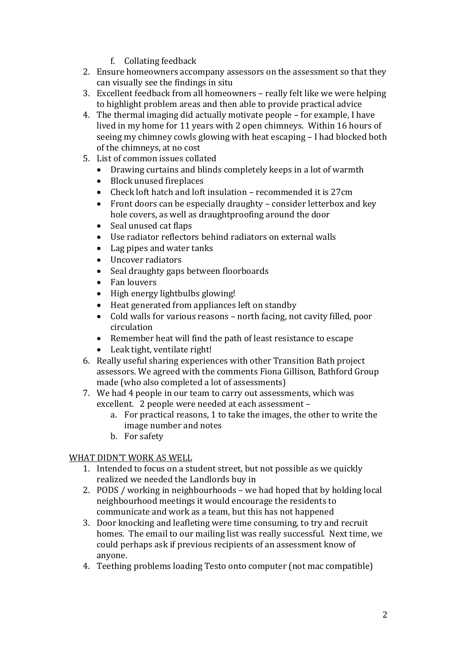- f. Collating feedback
- 2. Ensure homeowners accompany assessors on the assessment so that they can visually see the findings in situ
- 3. Excellent feedback from all homeowners really felt like we were helping to highlight problem areas and then able to provide practical advice
- 4. The thermal imaging did actually motivate people for example, I have lived in my home for 11 years with 2 open chimneys. Within 16 hours of seeing my chimney cowls glowing with heat escaping – I had blocked both of the chimneys, at no cost
- 5. List of common issues collated
	- Drawing curtains and blinds completely keeps in a lot of warmth
	- Block unused fireplaces
	- Check loft hatch and loft insulation recommended it is 27cm
	- Front doors can be especially draughty consider letterbox and key hole covers, as well as draughtproofing around the door
	- Seal unused cat flaps
	- Use radiator reflectors behind radiators on external walls
	- Lag pipes and water tanks
	- Uncover radiators
	- Seal draughty gaps between floorboards
	- Fan louvers
	- High energy lightbulbs glowing!
	- Heat generated from appliances left on standby
	- Cold walls for various reasons north facing, not cavity filled, poor circulation
	- Remember heat will find the path of least resistance to escape
	- Leak tight, ventilate right!
- 6. Really useful sharing experiences with other Transition Bath project assessors. We agreed with the comments Fiona Gillison, Bathford Group made (who also completed a lot of assessments)
- 7. We had 4 people in our team to carry out assessments, which was excellent. 2 people were needed at each assessment –
	- a. For practical reasons, 1 to take the images, the other to write the image number and notes
	- b. For safety

## WHAT DIDN'T WORK AS WELL

- 1. Intended to focus on a student street, but not possible as we quickly realized we needed the Landlords buy in
- 2. PODS / working in neighbourhoods we had hoped that by holding local neighbourhood meetings it would encourage the residents to communicate and work as a team, but this has not happened
- 3. Door knocking and leafleting were time consuming, to try and recruit homes. The email to our mailing list was really successful. Next time, we could perhaps ask if previous recipients of an assessment know of anyone.
- 4. Teething problems loading Testo onto computer (not mac compatible)